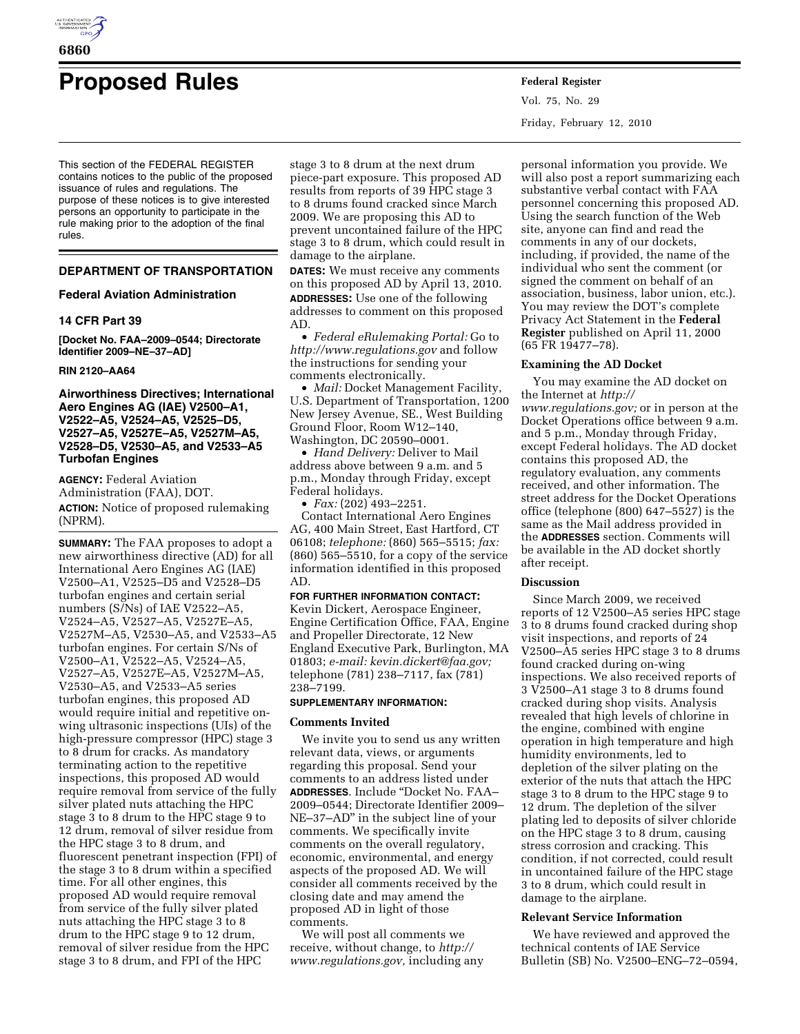

# **Proposed Rules Federal Register**

This section of the FEDERAL REGISTER contains notices to the public of the proposed issuance of rules and regulations. The purpose of these notices is to give interested persons an opportunity to participate in the rule making prior to the adoption of the final rules.

# **DEPARTMENT OF TRANSPORTATION**

## **Federal Aviation Administration**

# **14 CFR Part 39**

**[Docket No. FAA–2009–0544; Directorate Identifier 2009–NE–37–AD]** 

# **RIN 2120–AA64**

# **Airworthiness Directives; International Aero Engines AG (IAE) V2500–A1, V2522–A5, V2524–A5, V2525–D5, V2527–A5, V2527E–A5, V2527M–A5, V2528–D5, V2530–A5, and V2533–A5 Turbofan Engines**

**AGENCY:** Federal Aviation Administration (FAA), DOT. **ACTION:** Notice of proposed rulemaking (NPRM).

**SUMMARY:** The FAA proposes to adopt a new airworthiness directive (AD) for all International Aero Engines AG (IAE) V2500–A1, V2525–D5 and V2528–D5 turbofan engines and certain serial numbers (S/Ns) of IAE V2522–A5, V2524–A5, V2527–A5, V2527E–A5, V2527M–A5, V2530–A5, and V2533–A5 turbofan engines. For certain S/Ns of V2500–A1, V2522–A5, V2524–A5, V2527–A5, V2527E–A5, V2527M–A5, V2530–A5, and V2533–A5 series turbofan engines, this proposed AD would require initial and repetitive onwing ultrasonic inspections (UIs) of the high-pressure compressor (HPC) stage 3 to 8 drum for cracks. As mandatory terminating action to the repetitive inspections, this proposed AD would require removal from service of the fully silver plated nuts attaching the HPC stage 3 to 8 drum to the HPC stage 9 to 12 drum, removal of silver residue from the HPC stage 3 to 8 drum, and fluorescent penetrant inspection (FPI) of the stage 3 to 8 drum within a specified time. For all other engines, this proposed AD would require removal from service of the fully silver plated nuts attaching the HPC stage 3 to 8 drum to the HPC stage 9 to 12 drum, removal of silver residue from the HPC stage 3 to 8 drum, and FPI of the HPC

stage 3 to 8 drum at the next drum piece-part exposure. This proposed AD results from reports of 39 HPC stage 3 to 8 drums found cracked since March 2009. We are proposing this AD to prevent uncontained failure of the HPC stage 3 to 8 drum, which could result in damage to the airplane.

**DATES:** We must receive any comments on this proposed AD by April 13, 2010. **ADDRESSES:** Use one of the following addresses to comment on this proposed AD.

• *Federal eRulemaking Portal:* Go to *http://www.regulations.gov* and follow the instructions for sending your comments electronically.

• *Mail:* Docket Management Facility, U.S. Department of Transportation, 1200 New Jersey Avenue, SE., West Building Ground Floor, Room W12–140, Washington, DC 20590–0001.

• *Hand Delivery:* Deliver to Mail address above between 9 a.m. and 5 p.m., Monday through Friday, except Federal holidays.

• *Fax:* (202) 493–2251.

Contact International Aero Engines AG, 400 Main Street, East Hartford, CT 06108; *telephone:* (860) 565–5515; *fax:*  (860) 565–5510, for a copy of the service information identified in this proposed AD.

## **FOR FURTHER INFORMATION CONTACT:**

Kevin Dickert, Aerospace Engineer, Engine Certification Office, FAA, Engine and Propeller Directorate, 12 New England Executive Park, Burlington, MA 01803; *e-mail: kevin.dickert@faa.gov;*  telephone (781) 238–7117, fax (781) 238–7199.

# **SUPPLEMENTARY INFORMATION:**

## **Comments Invited**

We invite you to send us any written relevant data, views, or arguments regarding this proposal. Send your comments to an address listed under **ADDRESSES**. Include ''Docket No. FAA– 2009–0544; Directorate Identifier 2009– NE–37–AD'' in the subject line of your comments. We specifically invite comments on the overall regulatory, economic, environmental, and energy aspects of the proposed AD. We will consider all comments received by the closing date and may amend the proposed AD in light of those comments.

We will post all comments we receive, without change, to *http:// www.regulations.gov,* including any Vol. 75, No. 29 Friday, February 12, 2010

personal information you provide. We will also post a report summarizing each substantive verbal contact with FAA personnel concerning this proposed AD. Using the search function of the Web site, anyone can find and read the comments in any of our dockets, including, if provided, the name of the individual who sent the comment (or signed the comment on behalf of an association, business, labor union, etc.). You may review the DOT's complete Privacy Act Statement in the **Federal Register** published on April 11, 2000 (65 FR 19477–78).

## **Examining the AD Docket**

You may examine the AD docket on the Internet at *http:// www.regulations.gov;* or in person at the Docket Operations office between 9 a.m. and 5 p.m., Monday through Friday, except Federal holidays. The AD docket contains this proposed AD, the regulatory evaluation, any comments received, and other information. The street address for the Docket Operations office (telephone (800) 647–5527) is the same as the Mail address provided in the **ADDRESSES** section. Comments will be available in the AD docket shortly after receipt.

# **Discussion**

Since March 2009, we received reports of 12 V2500–A5 series HPC stage 3 to 8 drums found cracked during shop visit inspections, and reports of 24 V2500–A5 series HPC stage 3 to 8 drums found cracked during on-wing inspections. We also received reports of 3 V2500–A1 stage 3 to 8 drums found cracked during shop visits. Analysis revealed that high levels of chlorine in the engine, combined with engine operation in high temperature and high humidity environments, led to depletion of the silver plating on the exterior of the nuts that attach the HPC stage 3 to 8 drum to the HPC stage 9 to 12 drum. The depletion of the silver plating led to deposits of silver chloride on the HPC stage 3 to 8 drum, causing stress corrosion and cracking. This condition, if not corrected, could result in uncontained failure of the HPC stage 3 to 8 drum, which could result in damage to the airplane.

## **Relevant Service Information**

We have reviewed and approved the technical contents of IAE Service Bulletin (SB) No. V2500–ENG–72–0594,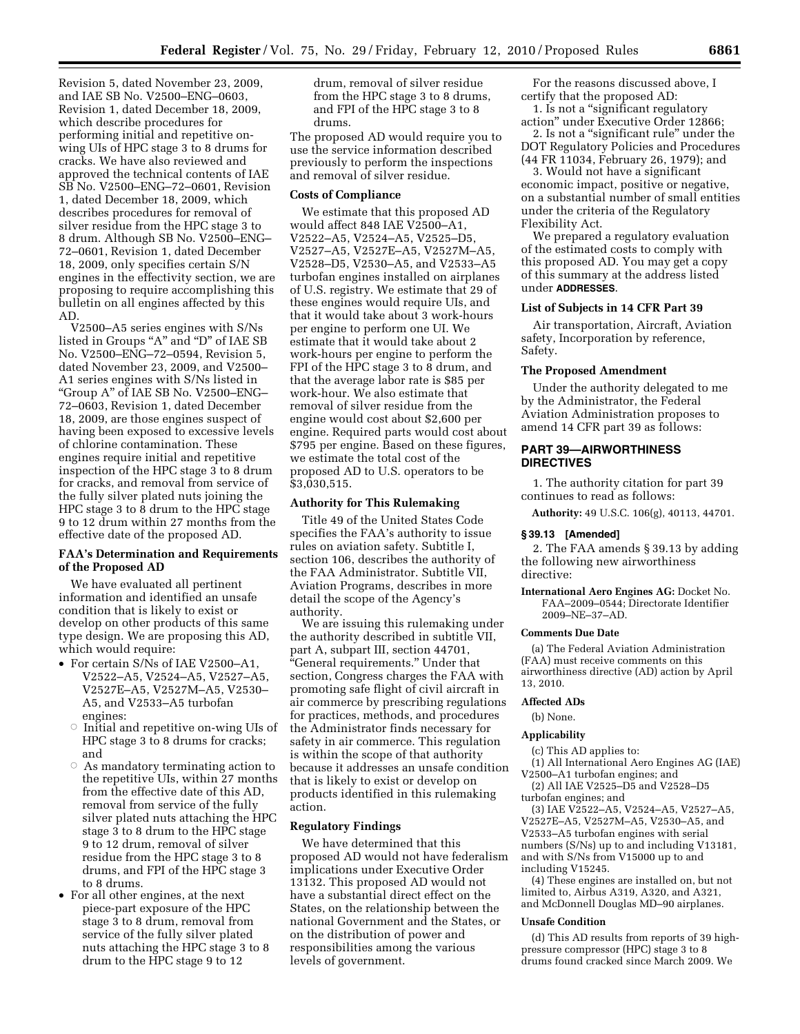Revision 5, dated November 23, 2009, and IAE SB No. V2500–ENG–0603, Revision 1, dated December 18, 2009, which describe procedures for performing initial and repetitive onwing UIs of HPC stage 3 to 8 drums for cracks. We have also reviewed and approved the technical contents of IAE SB No. V2500–ENG–72–0601, Revision 1, dated December 18, 2009, which describes procedures for removal of silver residue from the HPC stage 3 to 8 drum. Although SB No. V2500–ENG– 72–0601, Revision 1, dated December 18, 2009, only specifies certain S/N engines in the effectivity section, we are proposing to require accomplishing this bulletin on all engines affected by this AD.

V2500–A5 series engines with S/Ns listed in Groups "A" and "D" of IAE SB No. V2500–ENG–72–0594, Revision 5, dated November 23, 2009, and V2500– A1 series engines with S/Ns listed in ''Group A'' of IAE SB No. V2500–ENG– 72–0603, Revision 1, dated December 18, 2009, are those engines suspect of having been exposed to excessive levels of chlorine contamination. These engines require initial and repetitive inspection of the HPC stage 3 to 8 drum for cracks, and removal from service of the fully silver plated nuts joining the HPC stage 3 to 8 drum to the HPC stage 9 to 12 drum within 27 months from the effective date of the proposed AD.

# **FAA's Determination and Requirements of the Proposed AD**

We have evaluated all pertinent information and identified an unsafe condition that is likely to exist or develop on other products of this same type design. We are proposing this AD, which would require:

- For certain S/Ns of IAE V2500–A1, V2522–A5, V2524–A5, V2527–A5, V2527E–A5, V2527M–A5, V2530– A5, and V2533–A5 turbofan engines:
	- $\circ$  Initial and repetitive on-wing UIs of HPC stage 3 to 8 drums for cracks; and
	- $\circ$  As mandatory terminating action to the repetitive UIs, within 27 months from the effective date of this AD, removal from service of the fully silver plated nuts attaching the HPC stage 3 to 8 drum to the HPC stage 9 to 12 drum, removal of silver residue from the HPC stage 3 to 8 drums, and FPI of the HPC stage 3 to 8 drums.
- For all other engines, at the next piece-part exposure of the HPC stage 3 to 8 drum, removal from service of the fully silver plated nuts attaching the HPC stage 3 to 8 drum to the HPC stage 9 to 12

drum, removal of silver residue from the HPC stage 3 to 8 drums, and FPI of the HPC stage 3 to 8 drums.

The proposed AD would require you to use the service information described previously to perform the inspections and removal of silver residue.

## **Costs of Compliance**

We estimate that this proposed AD would affect 848 IAE V2500–A1, V2522–A5, V2524–A5, V2525–D5, V2527–A5, V2527E–A5, V2527M–A5, V2528–D5, V2530–A5, and V2533–A5 turbofan engines installed on airplanes of U.S. registry. We estimate that 29 of these engines would require UIs, and that it would take about 3 work-hours per engine to perform one UI. We estimate that it would take about 2 work-hours per engine to perform the FPI of the HPC stage 3 to 8 drum, and that the average labor rate is \$85 per work-hour. We also estimate that removal of silver residue from the engine would cost about \$2,600 per engine. Required parts would cost about \$795 per engine. Based on these figures, we estimate the total cost of the proposed AD to U.S. operators to be \$3,030,515.

## **Authority for This Rulemaking**

Title 49 of the United States Code specifies the FAA's authority to issue rules on aviation safety. Subtitle I, section 106, describes the authority of the FAA Administrator. Subtitle VII, Aviation Programs, describes in more detail the scope of the Agency's authority.

We are issuing this rulemaking under the authority described in subtitle VII, part A, subpart III, section 44701, ''General requirements.'' Under that section, Congress charges the FAA with promoting safe flight of civil aircraft in air commerce by prescribing regulations for practices, methods, and procedures the Administrator finds necessary for safety in air commerce. This regulation is within the scope of that authority because it addresses an unsafe condition that is likely to exist or develop on products identified in this rulemaking action.

# **Regulatory Findings**

We have determined that this proposed AD would not have federalism implications under Executive Order 13132. This proposed AD would not have a substantial direct effect on the States, on the relationship between the national Government and the States, or on the distribution of power and responsibilities among the various levels of government.

For the reasons discussed above, I certify that the proposed AD:

1. Is not a ''significant regulatory action'' under Executive Order 12866;

2. Is not a ''significant rule'' under the DOT Regulatory Policies and Procedures (44 FR 11034, February 26, 1979); and

3. Would not have a significant economic impact, positive or negative, on a substantial number of small entities under the criteria of the Regulatory Flexibility Act.

We prepared a regulatory evaluation of the estimated costs to comply with this proposed AD. You may get a copy of this summary at the address listed under **ADDRESSES**.

# **List of Subjects in 14 CFR Part 39**

Air transportation, Aircraft, Aviation safety, Incorporation by reference, Safety.

#### **The Proposed Amendment**

Under the authority delegated to me by the Administrator, the Federal Aviation Administration proposes to amend 14 CFR part 39 as follows:

## **PART 39—AIRWORTHINESS DIRECTIVES**

1. The authority citation for part 39 continues to read as follows:

**Authority:** 49 U.S.C. 106(g), 40113, 44701.

#### **§ 39.13 [Amended]**

2. The FAA amends § 39.13 by adding the following new airworthiness directive:

**International Aero Engines AG:** Docket No. FAA–2009–0544; Directorate Identifier 2009–NE–37–AD.

#### **Comments Due Date**

(a) The Federal Aviation Administration (FAA) must receive comments on this airworthiness directive (AD) action by April 13, 2010.

## **Affected ADs**

(b) None.

#### **Applicability**

(c) This AD applies to:

(1) All International Aero Engines AG (IAE) V2500–A1 turbofan engines; and

(2) All IAE V2525–D5 and V2528–D5 turbofan engines; and

(3) IAE V2522–A5, V2524–A5, V2527–A5, V2527E–A5, V2527M–A5, V2530–A5, and V2533–A5 turbofan engines with serial numbers (S/Ns) up to and including V13181, and with S/Ns from V15000 up to and including V15245.

(4) These engines are installed on, but not limited to, Airbus A319, A320, and A321, and McDonnell Douglas MD–90 airplanes.

#### **Unsafe Condition**

(d) This AD results from reports of 39 highpressure compressor (HPC) stage 3 to 8 drums found cracked since March 2009. We